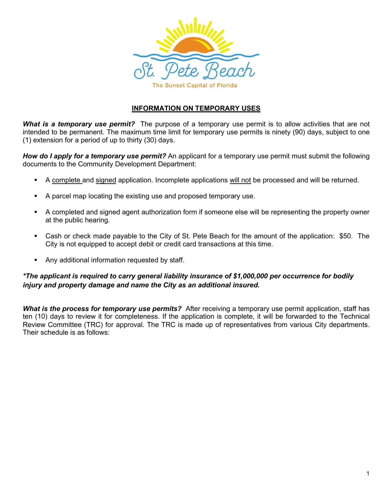

### **INFORMATION ON TEMPORARY USES**

*What is a temporary use permit?* The purpose of a temporary use permit is to allow activities that are not intended to be permanent. The maximum time limit for temporary use permits is ninety (90) days, subject to one (1) extension for a period of up to thirty (30) days.

*How do I apply for a temporary use permit?* An applicant for a temporary use permit must submit the following documents to the Community Development Department:

- A complete and signed application. Incomplete applications will not be processed and will be returned.
- A parcel map locating the existing use and proposed temporary use.
- A completed and signed agent authorization form if someone else will be representing the property owner at the public hearing.
- Cash or check made payable to the City of St. Pete Beach for the amount of the application: \$50. The City is not equipped to accept debit or credit card transactions at this time.
- **Any additional information requested by staff.**

### *\*The applicant is required to carry general liability insurance of \$1,000,000 per occurrence for bodily injury and property damage and name the City as an additional insured.*

*What is the process for temporary use permits?* After receiving a temporary use permit application, staff has ten (10) days to review it for completeness. If the application is complete, it will be forwarded to the Technical Review Committee (TRC) for approval. The TRC is made up of representatives from various City departments. Their schedule is as follows: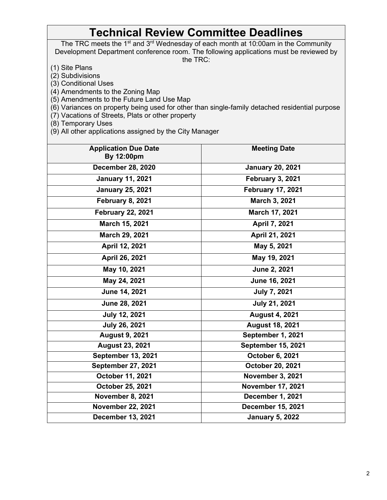# **Technical Review Committee Deadlines**

The TRC meets the 1<sup>st</sup> and 3<sup>rd</sup> Wednesday of each month at 10:00am in the Community Development Department conference room. The following applications must be reviewed by the TRC:

(1) Site Plans

(2) Subdivisions

(3) Conditional Uses

(4) Amendments to the Zoning Map

(5) Amendments to the Future Land Use Map

(6) Variances on property being used for other than single-family detached residential purpose

(7) Vacations of Streets, Plats or other property

(8) Temporary Uses

(9) All other applications assigned by the City Manager

| <b>Application Due Date</b><br>By 12:00pm           | <b>Meeting Date</b>       |  |
|-----------------------------------------------------|---------------------------|--|
| <b>December 28, 2020</b>                            | <b>January 20, 2021</b>   |  |
| <b>January 11, 2021</b>                             | <b>February 3, 2021</b>   |  |
| <b>February 17, 2021</b><br><b>January 25, 2021</b> |                           |  |
| February 8, 2021                                    | March 3, 2021             |  |
| <b>February 22, 2021</b>                            | March 17, 2021            |  |
| March 15, 2021                                      | April 7, 2021             |  |
| March 29, 2021<br>April 21, 2021                    |                           |  |
| April 12, 2021                                      | May 5, 2021               |  |
| April 26, 2021                                      | May 19, 2021              |  |
| May 10, 2021                                        | June 2, 2021              |  |
| May 24, 2021                                        | June 16, 2021             |  |
| June 14, 2021                                       | <b>July 7, 2021</b>       |  |
| June 28, 2021                                       | <b>July 21, 2021</b>      |  |
| <b>July 12, 2021</b>                                | <b>August 4, 2021</b>     |  |
| <b>July 26, 2021</b>                                | <b>August 18, 2021</b>    |  |
| <b>August 9, 2021</b>                               | September 1, 2021         |  |
| <b>August 23, 2021</b>                              | <b>September 15, 2021</b> |  |
| <b>September 13, 2021</b>                           | October 6, 2021           |  |
| September 27, 2021                                  | October 20, 2021          |  |
| October 11, 2021                                    | <b>November 3, 2021</b>   |  |
| October 25, 2021                                    | <b>November 17, 2021</b>  |  |
| <b>November 8, 2021</b>                             | December 1, 2021          |  |
| <b>November 22, 2021</b>                            | <b>December 15, 2021</b>  |  |
| December 13, 2021                                   | <b>January 5, 2022</b>    |  |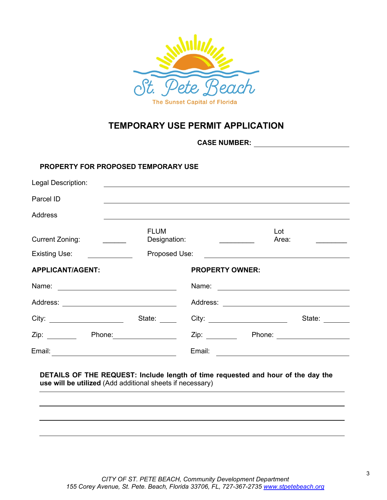

### **TEMPORARY USE PERMIT APPLICATION**

**CASE NUMBER:**

### **PROPERTY FOR PROPOSED TEMPORARY USE**

| Legal Description:                                                                                                                                                                                                             |                                                                                                                                                                                                                                | <u> 1980 - Jan James Sandar, sebagai personal dan berasal dan berasal dan berasal dari berasal dan berasal dan b</u>                                                                                                           |                             |
|--------------------------------------------------------------------------------------------------------------------------------------------------------------------------------------------------------------------------------|--------------------------------------------------------------------------------------------------------------------------------------------------------------------------------------------------------------------------------|--------------------------------------------------------------------------------------------------------------------------------------------------------------------------------------------------------------------------------|-----------------------------|
| Parcel ID                                                                                                                                                                                                                      |                                                                                                                                                                                                                                |                                                                                                                                                                                                                                |                             |
| <b>Address</b>                                                                                                                                                                                                                 |                                                                                                                                                                                                                                |                                                                                                                                                                                                                                |                             |
| <b>Current Zoning:</b>                                                                                                                                                                                                         | <b>FLUM</b><br>Designation:                                                                                                                                                                                                    |                                                                                                                                                                                                                                | Lot<br>Area:                |
| Existing Use:                                                                                                                                                                                                                  | Proposed Use:                                                                                                                                                                                                                  | <u> Andrew Marian (1989)</u>                                                                                                                                                                                                   |                             |
| <b>APPLICANT/AGENT:</b>                                                                                                                                                                                                        |                                                                                                                                                                                                                                | <b>PROPERTY OWNER:</b>                                                                                                                                                                                                         |                             |
| Name: <u>___________________________</u>                                                                                                                                                                                       |                                                                                                                                                                                                                                | Name: <u>____________________</u>                                                                                                                                                                                              |                             |
|                                                                                                                                                                                                                                |                                                                                                                                                                                                                                |                                                                                                                                                                                                                                |                             |
| City:                                                                                                                                                                                                                          | State:                                                                                                                                                                                                                         | City: the contract of the contract of the contract of the contract of the contract of the contract of the contract of the contract of the contract of the contract of the contract of the contract of the contract of the cont | State:                      |
| Zip: the contract of the contract of the contract of the contract of the contract of the contract of the contract of the contract of the contract of the contract of the contract of the contract of the contract of the contr | Phone: the contract of the contract of the contract of the contract of the contract of the contract of the contract of the contract of the contract of the contract of the contract of the contract of the contract of the con | Zip: the contract of the contract of the contract of the contract of the contract of the contract of the contract of the contract of the contract of the contract of the contract of the contract of the contract of the contr | Phone: <u>_____________</u> |
| Email:                                                                                                                                                                                                                         |                                                                                                                                                                                                                                | Email:                                                                                                                                                                                                                         |                             |

### **DETAILS OF THE REQUEST: Include length of time requested and hour of the day the use will be utilized** (Add additional sheets if necessary)